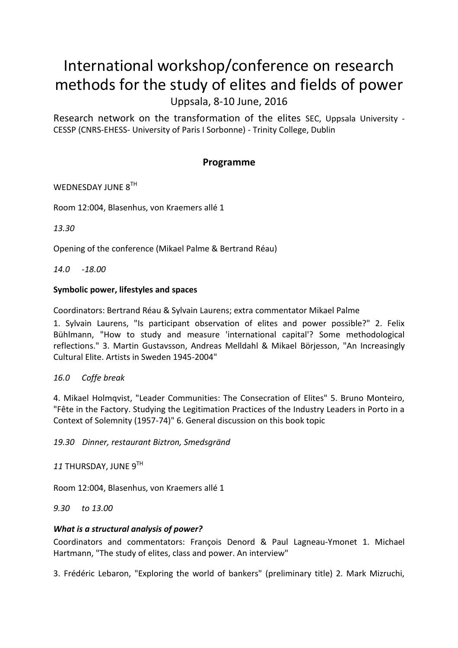# International workshop/conference on research methods for the study of elites and fields of power Uppsala, 8-10 June, 2016

Research network on the transformation of the elites SEC, Uppsala University - CESSP (CNRS-EHESS- University of Paris I Sorbonne) - Trinity College, Dublin

## **Programme**

## WEDNESDAY JUNE 8TH

Room 12:004, Blasenhus, von Kraemers allé 1

*13.30*

Opening of the conference (Mikael Palme & Bertrand Réau)

*14.0 -18.00*

#### **Symbolic power, lifestyles and spaces**

Coordinators: Bertrand Réau & Sylvain Laurens; extra commentator Mikael Palme

1. Sylvain Laurens, "Is participant observation of elites and power possible?" 2. Felix Bühlmann, "How to study and measure 'international capital'? Some methodological reflections." 3. Martin Gustavsson, Andreas Melldahl & Mikael Börjesson, "An Increasingly Cultural Elite. Artists in Sweden 1945-2004"

#### *16.0 Coffe break*

4. Mikael Holmqvist, "Leader Communities: The Consecration of Elites" 5. Bruno Monteiro, "Fête in the Factory. Studying the Legitimation Practices of the Industry Leaders in Porto in a Context of Solemnity (1957-74)" 6. General discussion on this book topic

*19.30 Dinner, restaurant Biztron, Smedsgränd* 

*11* THURSDAY, JUNE 9TH

Room 12:004, Blasenhus, von Kraemers allé 1

*9.30 to 13.00*

### *What is a structural analysis of power?*

Coordinators and commentators: François Denord & Paul Lagneau-Ymonet 1. Michael Hartmann, "The study of elites, class and power. An interview"

3. Frédéric Lebaron, "Exploring the world of bankers" (preliminary title) 2. Mark Mizruchi,